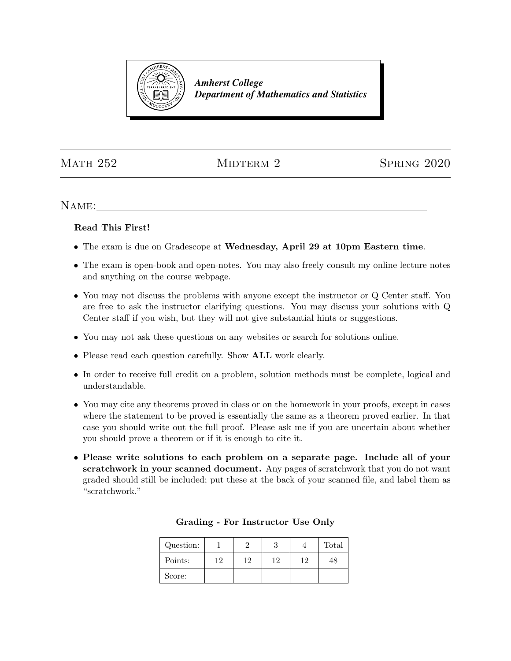

*Amherst College Department of Mathematics and Statistics*

MATH 252 MIDTERM 2 SPRING 2020

Name:

## Read This First!

- The exam is due on Gradescope at Wednesday, April 29 at 10pm Eastern time.
- The exam is open-book and open-notes. You may also freely consult my online lecture notes and anything on the course webpage.
- You may not discuss the problems with anyone except the instructor or Q Center staff. You are free to ask the instructor clarifying questions. You may discuss your solutions with Q Center staff if you wish, but they will not give substantial hints or suggestions.
- You may not ask these questions on any websites or search for solutions online.
- Please read each question carefully. Show ALL work clearly.
- In order to receive full credit on a problem, solution methods must be complete, logical and understandable.
- You may cite any theorems proved in class or on the homework in your proofs, except in cases where the statement to be proved is essentially the same as a theorem proved earlier. In that case you should write out the full proof. Please ask me if you are uncertain about whether you should prove a theorem or if it is enough to cite it.
- Please write solutions to each problem on a separate page. Include all of your scratchwork in your scanned document. Any pages of scratchwork that you do not want graded should still be included; put these at the back of your scanned file, and label them as "scratchwork."

| Question: |    |    | ., |    | Total |
|-----------|----|----|----|----|-------|
| Points:   | 19 | 19 | 12 | 19 | 48    |
| Score:    |    |    |    |    |       |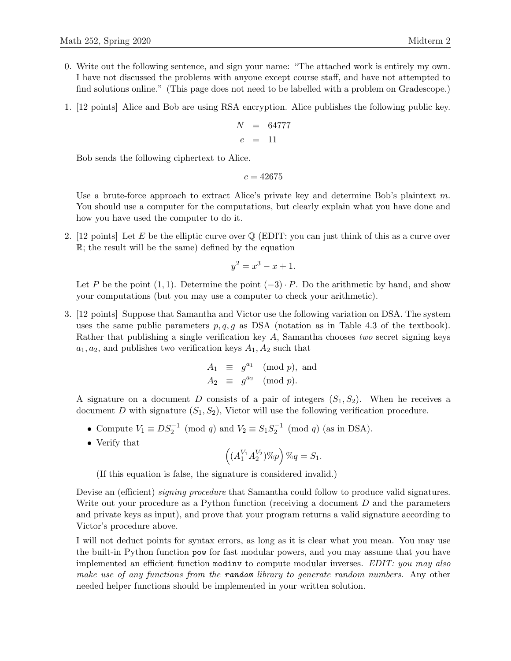- 0. Write out the following sentence, and sign your name: "The attached work is entirely my own. I have not discussed the problems with anyone except course staff, and have not attempted to find solutions online." (This page does not need to be labelled with a problem on Gradescope.)
- 1. [12 points] Alice and Bob are using RSA encryption. Alice publishes the following public key.

$$
\begin{array}{rcl} N & = & 64777 \\ e & = & 11 \end{array}
$$

Bob sends the following ciphertext to Alice.

 $c = 42675$ 

Use a brute-force approach to extract Alice's private key and determine Bob's plaintext  $m$ . You should use a computer for the computations, but clearly explain what you have done and how you have used the computer to do it.

2. [12 points] Let E be the elliptic curve over  $\mathbb Q$  (EDIT: you can just think of this as a curve over R; the result will be the same) defined by the equation

$$
y^2 = x^3 - x + 1.
$$

Let P be the point  $(1, 1)$ . Determine the point  $(-3) \cdot P$ . Do the arithmetic by hand, and show your computations (but you may use a computer to check your arithmetic).

3. [12 points] Suppose that Samantha and Victor use the following variation on DSA. The system uses the same public parameters  $p, q, g$  as DSA (notation as in Table 4.3 of the textbook). Rather that publishing a single verification key A, Samantha chooses two secret signing keys  $a_1, a_2$ , and publishes two verification keys  $A_1, A_2$  such that

$$
A_1 \equiv g^{a_1} \pmod{p}, \text{ and}
$$
  

$$
A_2 \equiv g^{a_2} \pmod{p}.
$$

A signature on a document D consists of a pair of integers  $(S_1, S_2)$ . When he receives a document D with signature  $(S_1, S_2)$ , Victor will use the following verification procedure.

- Compute  $V_1 \equiv DS_2^{-1} \pmod{q}$  and  $V_2 \equiv S_1 S_2^{-1} \pmod{q}$  (as in DSA).
- Verify that

$$
\left((A_1^{V_1}A_2^{V_2})\%p\right)\%q=S_1.
$$

(If this equation is false, the signature is considered invalid.)

Devise an (efficient) *signing procedure* that Samantha could follow to produce valid signatures. Write out your procedure as a Python function (receiving a document  $D$  and the parameters and private keys as input), and prove that your program returns a valid signature according to Victor's procedure above.

I will not deduct points for syntax errors, as long as it is clear what you mean. You may use the built-in Python function pow for fast modular powers, and you may assume that you have implemented an efficient function modinv to compute modular inverses. EDIT: you may also make use of any functions from the **random** library to generate random numbers. Any other needed helper functions should be implemented in your written solution.